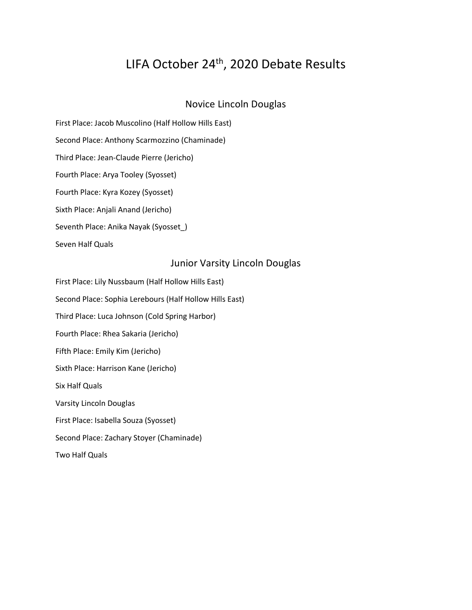# LIFA October 24<sup>th</sup>, 2020 Debate Results

# Novice Lincoln Douglas

First Place: Jacob Muscolino (Half Hollow Hills East) Second Place: Anthony Scarmozzino (Chaminade) Third Place: Jean-Claude Pierre (Jericho) Fourth Place: Arya Tooley (Syosset)

Fourth Place: Kyra Kozey (Syosset)

Sixth Place: Anjali Anand (Jericho)

Seventh Place: Anika Nayak (Syosset\_)

Seven Half Quals

### Junior Varsity Lincoln Douglas

First Place: Lily Nussbaum (Half Hollow Hills East) Second Place: Sophia Lerebours (Half Hollow Hills East) Third Place: Luca Johnson (Cold Spring Harbor) Fourth Place: Rhea Sakaria (Jericho) Fifth Place: Emily Kim (Jericho) Sixth Place: Harrison Kane (Jericho) Six Half Quals Varsity Lincoln Douglas First Place: Isabella Souza (Syosset) Second Place: Zachary Stoyer (Chaminade) Two Half Quals